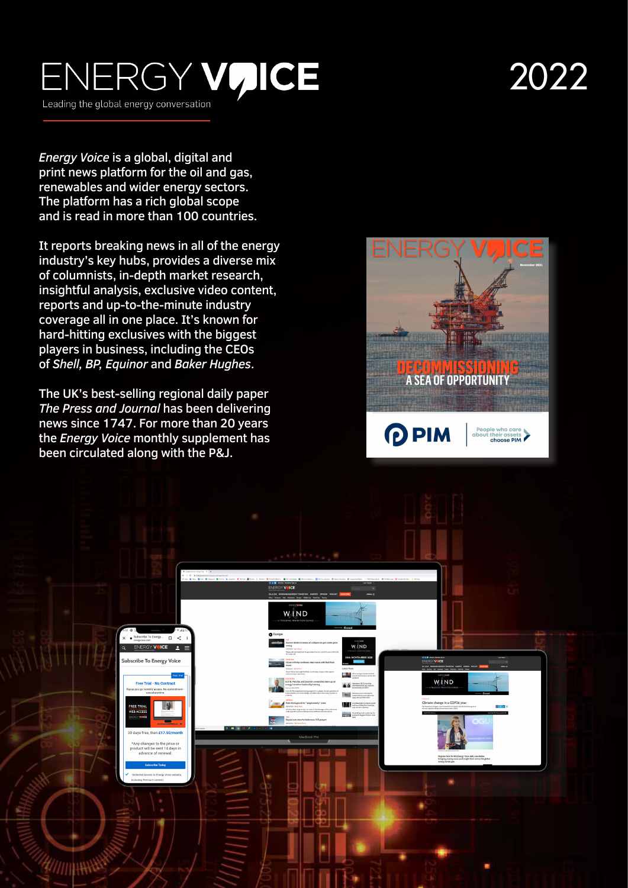### ENERGY VUICE Leading the global energy conversation

# 2022

*Energy Voice* is a global, digital and print news platform for the oil and gas, renewables and wider energy sectors. The platform has a rich global scope and is read in more than 100 countries.

It reports breaking news in all of the energy industry's key hubs, provides a diverse mix of columnists, in-depth market research, insightful analysis, exclusive video content, reports and up-to-the-minute industry coverage all in one place. It's known for hard-hitting exclusives with the biggest players in business, including the CEOs of *Shell, BP, Equinor* and *Baker Hughes* .

The UK's best-selling regional daily paper *The Press and Journal* has been delivering news since 1747. For more than 20 years the *Energy Voice* monthly supplement has been circulated along with the P&J.



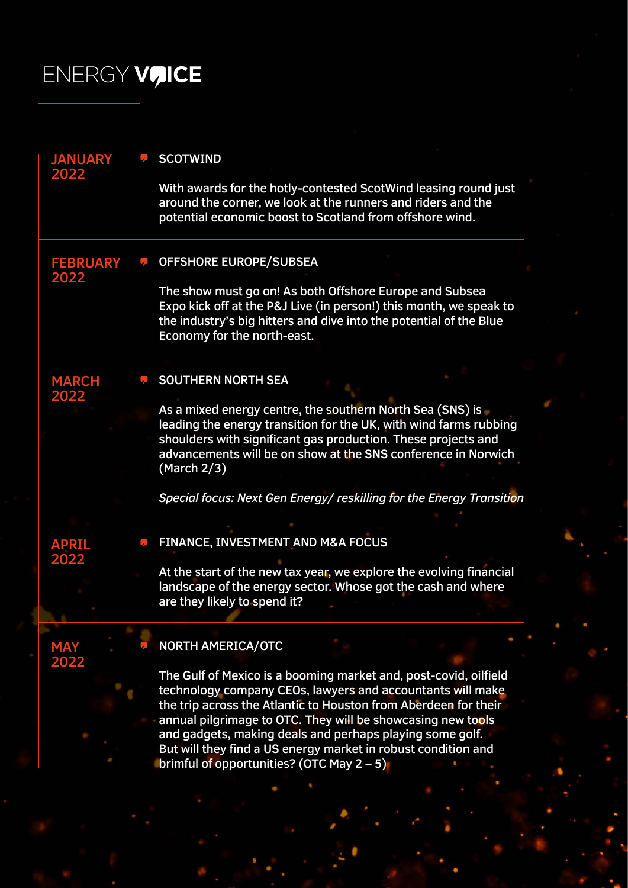## ENERGY VUICE

| <b>JANUARY</b><br>2022  | <b>SCOTWIND</b>                                                                                                                                                                                                                                                                                                                                                                                                                               |
|-------------------------|-----------------------------------------------------------------------------------------------------------------------------------------------------------------------------------------------------------------------------------------------------------------------------------------------------------------------------------------------------------------------------------------------------------------------------------------------|
|                         | With awards for the hotly-contested ScotWind leasing round just<br>around the corner, we look at the runners and riders and the<br>potential economic boost to Scotland from offshore wind.                                                                                                                                                                                                                                                   |
| <b>FEBRUARY</b><br>2022 | <b>OFFSHORE EUROPE/SUBSEA</b>                                                                                                                                                                                                                                                                                                                                                                                                                 |
|                         | The show must go on! As both Offshore Europe and Subsea<br>Expo kick off at the P&J Live (in person!) this month, we speak to<br>the industry's big hitters and dive into the potential of the Blue<br>Economy for the north-east.                                                                                                                                                                                                            |
| <b>MARCH</b><br>2022    | <b>SOUTHERN NORTH SEA</b>                                                                                                                                                                                                                                                                                                                                                                                                                     |
|                         | As a mixed energy centre, the southern North Sea (SNS) is<br>leading the energy transition for the UK, with wind farms rubbing<br>shoulders with significant gas production. These projects and<br>advancements will be on show at the SNS conference in Norwich<br>(March 2/3)                                                                                                                                                               |
|                         | Special focus: Next Gen Energy/reskilling for the Energy Transition                                                                                                                                                                                                                                                                                                                                                                           |
| <b>APRIL</b><br>2022    | FINANCE, INVESTMENT AND M&A FOCUS                                                                                                                                                                                                                                                                                                                                                                                                             |
|                         | At the start of the new tax year, we explore the evolving financial<br>landscape of the energy sector. Whose got the cash and where<br>are they likely to spend it?                                                                                                                                                                                                                                                                           |
| <b>MAY</b><br>2022      | <b>NORTH AMERICA/OTC</b>                                                                                                                                                                                                                                                                                                                                                                                                                      |
|                         | The Gulf of Mexico is a booming market and, post-covid, oilfield<br>technology company CEOs, lawyers and accountants will make<br>the trip across the Atlantic to Houston from Aberdeen for their<br>annual pilgrimage to OTC. They will be showcasing new tools<br>and gadgets, making deals and perhaps playing some golf.<br>But will they find a US energy market in robust condition and<br>brimful of opportunities? (OTC May $2 - 5$ ) |
|                         |                                                                                                                                                                                                                                                                                                                                                                                                                                               |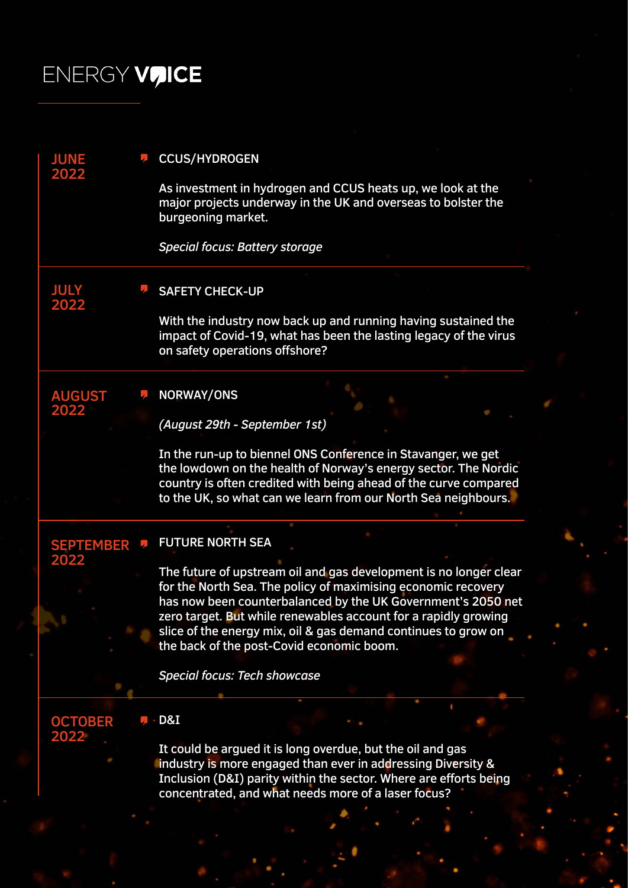## ENERGY VUICE

| <b>JUNE</b>              | <b>CCUS/HYDROGEN</b>                                                                                                                                                                                                                                                  |
|--------------------------|-----------------------------------------------------------------------------------------------------------------------------------------------------------------------------------------------------------------------------------------------------------------------|
| 2022                     | As investment in hydrogen and CCUS heats up, we look at the<br>major projects underway in the UK and overseas to bolster the<br>burgeoning market.                                                                                                                    |
|                          | <b>Special focus: Battery storage</b>                                                                                                                                                                                                                                 |
| <b>JULY</b><br>2022      | <b>SAFETY CHECK-UP</b>                                                                                                                                                                                                                                                |
|                          | With the industry now back up and running having sustained the<br>impact of Covid-19, what has been the lasting legacy of the virus<br>on safety operations offshore?                                                                                                 |
| <b>AUGUST</b><br>2022    | <b>NORWAY/ONS</b>                                                                                                                                                                                                                                                     |
|                          | (August 29th - September 1st)                                                                                                                                                                                                                                         |
|                          | In the run-up to biennel ONS Conference in Stavanger, we get<br>the lowdown on the health of Norway's energy sector. The Nordic<br>country is often credited with being ahead of the curve compared<br>to the UK, so what can we learn from our North Sea neighbours. |
| <b>SEPTEMBER</b><br>2022 | <b>FUTURE NORTH SEA</b>                                                                                                                                                                                                                                               |
|                          | The future of upstream oil and gas development is no longer clear<br>for the North Sea. The policy of maximising economic recovery<br>has now been counterbalanced by the UK Government's 2050 net<br>zero target. But while renewables account for a rapidly growing |
|                          | slice of the energy mix, oil & gas demand continues to grow on<br>the back of the post-Covid economic boom.                                                                                                                                                           |
|                          | <b>Special focus: Tech showcase</b>                                                                                                                                                                                                                                   |
| <b>OCTOBER</b><br>2022   | D&I                                                                                                                                                                                                                                                                   |
|                          | It could be argued it is long overdue, but the oil and gas<br>industry is more engaged than ever in addressing Diversity &<br>Inclusion (D&I) parity within the sector. Where are efforts being<br>concentrated, and what needs more of a laser focus?                |
|                          |                                                                                                                                                                                                                                                                       |